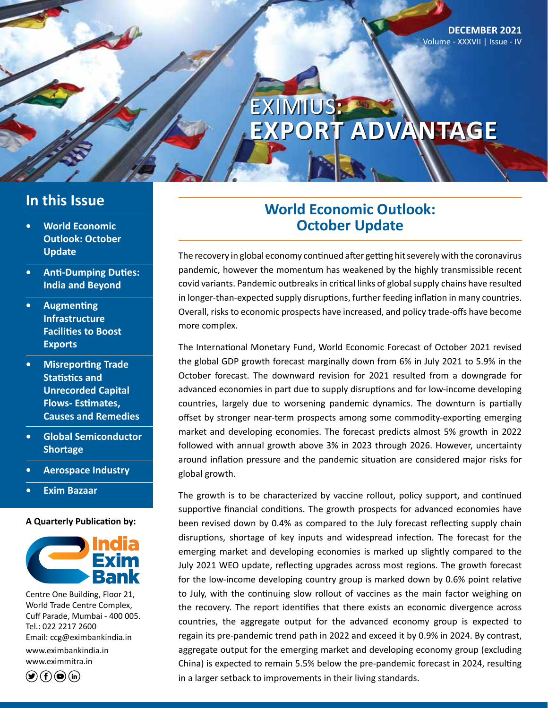# EXIMIUS**: EXPORT ADVANTAGE**

### **In this Issue**

- **• World Economic Outlook: October Update**
- **• Anti-Dumping Duties: India and Beyond**
- **• Augmenting Infrastructure Facilities to Boost Exports**
- **• Misreporting Trade Statistics and Unrecorded Capital Flows- Estimates, Causes and Remedies**
- **• Global Semiconductor Shortage**
- **• Aerospace Industry**
- **• Exim Bazaar**

#### **A Quarterly Publication by:**



Centre One Building, Floor 21, World Trade Centre Complex, Cuff Parade, Mumbai - 400 005. Tel.: 022 2217 2600 Email: ccg@eximbankindia.in www.eximbankindia.in www.eximmitra.in

 $\left( \bigcirc \left( f \right) \circledcirc \left( f \right) \right)$ 

### **World Economic Outlook: October Update**

The recovery in global economy continued after getting hit severely with the coronavirus pandemic, however the momentum has weakened by the highly transmissible recent covid variants. Pandemic outbreaks in critical links of global supply chains have resulted in longer-than-expected supply disruptions, further feeding inflation in many countries. Overall, risks to economic prospects have increased, and policy trade-offs have become more complex.

The International Monetary Fund, World Economic Forecast of October 2021 revised the global GDP growth forecast marginally down from 6% in July 2021 to 5.9% in the October forecast. The downward revision for 2021 resulted from a downgrade for advanced economies in part due to supply disruptions and for low-income developing countries, largely due to worsening pandemic dynamics. The downturn is partially offset by stronger near-term prospects among some commodity-exporting emerging market and developing economies. The forecast predicts almost 5% growth in 2022 followed with annual growth above 3% in 2023 through 2026. However, uncertainty around inflation pressure and the pandemic situation are considered major risks for global growth.

The growth is to be characterized by vaccine rollout, policy support, and continued supportive financial conditions. The growth prospects for advanced economies have been revised down by 0.4% as compared to the July forecast reflecting supply chain disruptions, shortage of key inputs and widespread infection. The forecast for the emerging market and developing economies is marked up slightly compared to the July 2021 WEO update, reflecting upgrades across most regions. The growth forecast for the low-income developing country group is marked down by 0.6% point relative to July, with the continuing slow rollout of vaccines as the main factor weighing on the recovery. The report identifies that there exists an economic divergence across countries, the aggregate output for the advanced economy group is expected to regain its pre-pandemic trend path in 2022 and exceed it by 0.9% in 2024. By contrast, aggregate output for the emerging market and developing economy group (excluding China) is expected to remain 5.5% below the pre-pandemic forecast in 2024, resulting in a larger setback to improvements in their living standards.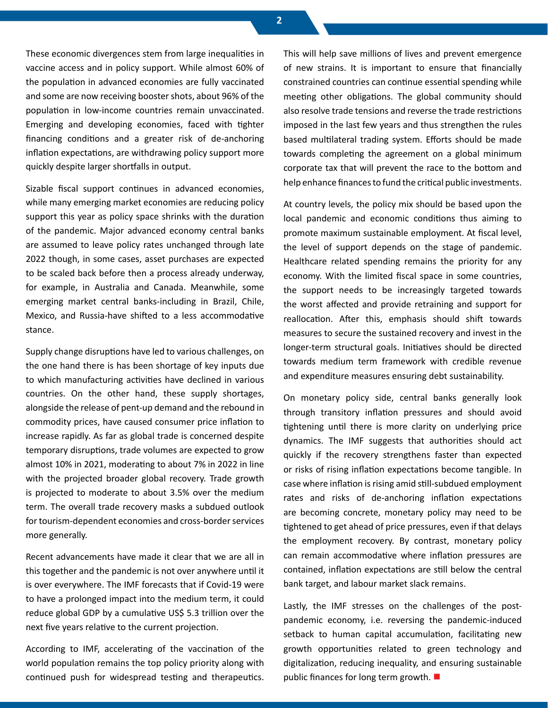These economic divergences stem from large inequalities in vaccine access and in policy support. While almost 60% of the population in advanced economies are fully vaccinated and some are now receiving booster shots, about 96% of the population in low-income countries remain unvaccinated. Emerging and developing economies, faced with tighter financing conditions and a greater risk of de-anchoring inflation expectations, are withdrawing policy support more quickly despite larger shortfalls in output.

Sizable fiscal support continues in advanced economies, while many emerging market economies are reducing policy support this year as policy space shrinks with the duration of the pandemic. Major advanced economy central banks are assumed to leave policy rates unchanged through late 2022 though, in some cases, asset purchases are expected to be scaled back before then a process already underway, for example, in Australia and Canada. Meanwhile, some emerging market central banks-including in Brazil, Chile, Mexico, and Russia-have shifted to a less accommodative stance.

Supply change disruptions have led to various challenges, on the one hand there is has been shortage of key inputs due to which manufacturing activities have declined in various countries. On the other hand, these supply shortages, alongside the release of pent-up demand and the rebound in commodity prices, have caused consumer price inflation to increase rapidly. As far as global trade is concerned despite temporary disruptions, trade volumes are expected to grow almost 10% in 2021, moderating to about 7% in 2022 in line with the projected broader global recovery. Trade growth is projected to moderate to about 3.5% over the medium term. The overall trade recovery masks a subdued outlook for tourism-dependent economies and cross-border services more generally.

Recent advancements have made it clear that we are all in this together and the pandemic is not over anywhere until it is over everywhere. The IMF forecasts that if Covid-19 were to have a prolonged impact into the medium term, it could reduce global GDP by a cumulative US\$ 5.3 trillion over the next five years relative to the current projection.

According to IMF, accelerating of the vaccination of the world population remains the top policy priority along with continued push for widespread testing and therapeutics. This will help save millions of lives and prevent emergence of new strains. It is important to ensure that financially constrained countries can continue essential spending while meeting other obligations. The global community should also resolve trade tensions and reverse the trade restrictions imposed in the last few years and thus strengthen the rules based multilateral trading system. Efforts should be made towards completing the agreement on a global minimum corporate tax that will prevent the race to the bottom and help enhance finances to fund the critical public investments.

At country levels, the policy mix should be based upon the local pandemic and economic conditions thus aiming to promote maximum sustainable employment. At fiscal level, the level of support depends on the stage of pandemic. Healthcare related spending remains the priority for any economy. With the limited fiscal space in some countries, the support needs to be increasingly targeted towards the worst affected and provide retraining and support for reallocation. After this, emphasis should shift towards measures to secure the sustained recovery and invest in the longer-term structural goals. Initiatives should be directed towards medium term framework with credible revenue and expenditure measures ensuring debt sustainability.

On monetary policy side, central banks generally look through transitory inflation pressures and should avoid tightening until there is more clarity on underlying price dynamics. The IMF suggests that authorities should act quickly if the recovery strengthens faster than expected or risks of rising inflation expectations become tangible. In case where inflation is rising amid still-subdued employment rates and risks of de-anchoring inflation expectations are becoming concrete, monetary policy may need to be tightened to get ahead of price pressures, even if that delays the employment recovery. By contrast, monetary policy can remain accommodative where inflation pressures are contained, inflation expectations are still below the central bank target, and labour market slack remains.

Lastly, the IMF stresses on the challenges of the postpandemic economy, i.e. reversing the pandemic-induced setback to human capital accumulation, facilitating new growth opportunities related to green technology and digitalization, reducing inequality, and ensuring sustainable public finances for long term growth. ■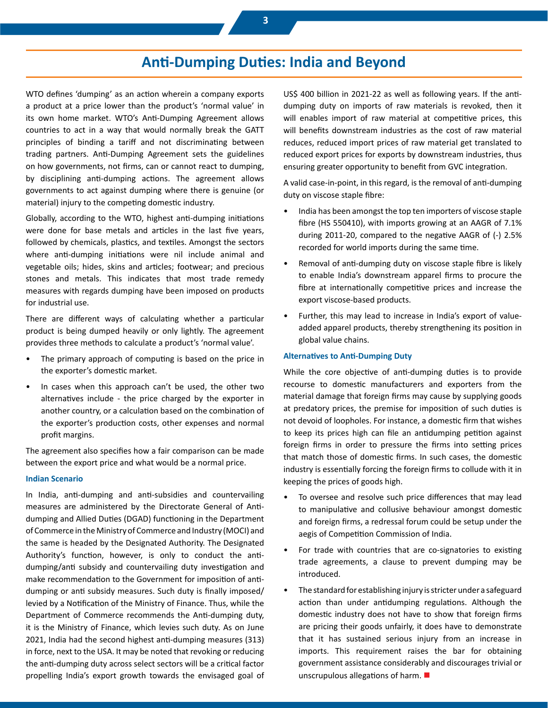## **Anti-Dumping Duties: India and Beyond**

WTO defines 'dumping' as an action wherein a company exports a product at a price lower than the product's 'normal value' in its own home market. WTO's Anti-Dumping Agreement allows countries to act in a way that would normally break the GATT principles of binding a tariff and not discriminating between trading partners. Anti-Dumping Agreement sets the guidelines on how governments, not firms, can or cannot react to dumping, by disciplining anti-dumping actions. The agreement allows governments to act against dumping where there is genuine (or material) injury to the competing domestic industry.

Globally, according to the WTO, highest anti-dumping initiations were done for base metals and articles in the last five years, followed by chemicals, plastics, and textiles. Amongst the sectors where anti-dumping initiations were nil include animal and vegetable oils; hides, skins and articles; footwear; and precious stones and metals. This indicates that most trade remedy measures with regards dumping have been imposed on products for industrial use.

There are different ways of calculating whether a particular product is being dumped heavily or only lightly. The agreement provides three methods to calculate a product's 'normal value'.

- The primary approach of computing is based on the price in the exporter's domestic market.
- In cases when this approach can't be used, the other two alternatives include - the price charged by the exporter in another country, or a calculation based on the combination of the exporter's production costs, other expenses and normal profit margins.

The agreement also specifies how a fair comparison can be made between the export price and what would be a normal price.

#### **Indian Scenario**

In India, anti-dumping and anti-subsidies and countervailing measures are administered by the Directorate General of Antidumping and Allied Duties (DGAD) functioning in the Department of Commerce in the Ministry of Commerce and Industry (MOCI) and the same is headed by the Designated Authority. The Designated Authority's function, however, is only to conduct the antidumping/anti subsidy and countervailing duty investigation and make recommendation to the Government for imposition of antidumping or anti subsidy measures. Such duty is finally imposed/ levied by a Notification of the Ministry of Finance. Thus, while the Department of Commerce recommends the Anti-dumping duty, it is the Ministry of Finance, which levies such duty. As on June 2021, India had the second highest anti-dumping measures (313) in force, next to the USA. It may be noted that revoking or reducing the anti-dumping duty across select sectors will be a critical factor propelling India's export growth towards the envisaged goal of US\$ 400 billion in 2021-22 as well as following years. If the antidumping duty on imports of raw materials is revoked, then it will enables import of raw material at competitive prices, this will benefits downstream industries as the cost of raw material reduces, reduced import prices of raw material get translated to reduced export prices for exports by downstream industries, thus ensuring greater opportunity to benefit from GVC integration.

A valid case-in-point, in this regard, is the removal of anti-dumping duty on viscose staple fibre:

- India has been amongst the top ten importers of viscose staple fibre (HS 550410), with imports growing at an AAGR of 7.1% during 2011-20, compared to the negative AAGR of (-) 2.5% recorded for world imports during the same time.
- Removal of anti-dumping duty on viscose staple fibre is likely to enable India's downstream apparel firms to procure the fibre at internationally competitive prices and increase the export viscose-based products.
- Further, this may lead to increase in India's export of valueadded apparel products, thereby strengthening its position in global value chains.

#### **Alternatives to Anti-Dumping Duty**

While the core objective of anti-dumping duties is to provide recourse to domestic manufacturers and exporters from the material damage that foreign firms may cause by supplying goods at predatory prices, the premise for imposition of such duties is not devoid of loopholes. For instance, a domestic firm that wishes to keep its prices high can file an antidumping petition against foreign firms in order to pressure the firms into setting prices that match those of domestic firms. In such cases, the domestic industry is essentially forcing the foreign firms to collude with it in keeping the prices of goods high.

- To oversee and resolve such price differences that may lead to manipulative and collusive behaviour amongst domestic and foreign firms, a redressal forum could be setup under the aegis of Competition Commission of India.
- For trade with countries that are co-signatories to existing trade agreements, a clause to prevent dumping may be introduced.
- The standard for establishing injury is stricter under a safeguard action than under antidumping regulations. Although the domestic industry does not have to show that foreign firms are pricing their goods unfairly, it does have to demonstrate that it has sustained serious injury from an increase in imports. This requirement raises the bar for obtaining government assistance considerably and discourages trivial or unscrupulous allegations of harm.  $\blacksquare$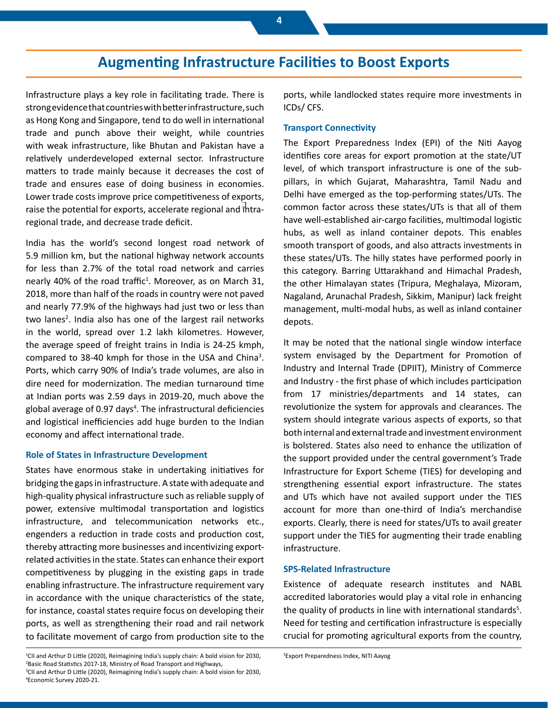### **Augmenting Infrastructure Facilities to Boost Exports**

Infrastructure plays a key role in facilitating trade. There is strong evidence that countries with better infrastructure, such as Hong Kong and Singapore, tend to do well in international trade and punch above their weight, while countries with weak infrastructure, like Bhutan and Pakistan have a relatively underdeveloped external sector. Infrastructure matters to trade mainly because it decreases the cost of trade and ensures ease of doing business in economies. Lower trade costs improve price competitiveness of exports, raise the potential for exports, accelerate regional and intraregional trade, and decrease trade deficit.

India has the world's second longest road network of 5.9 million km, but the national highway network accounts for less than 2.7% of the total road network and carries nearly 40% of the road traffic<sup>1</sup>. Moreover, as on March 31, 2018, more than half of the roads in country were not paved and nearly 77.9% of the highways had just two or less than two lanes<sup>2</sup>. India also has one of the largest rail networks in the world, spread over 1.2 lakh kilometres. However, the average speed of freight trains in India is 24-25 kmph, compared to 38-40 kmph for those in the USA and China<sup>3</sup>. Ports, which carry 90% of India's trade volumes, are also in dire need for modernization. The median turnaround time at Indian ports was 2.59 days in 2019-20, much above the global average of 0.97 days<sup>4</sup>. The infrastructural deficiencies and logistical inefficiencies add huge burden to the Indian economy and affect international trade.

#### **Role of States in Infrastructure Development**

States have enormous stake in undertaking initiatives for bridging the gaps in infrastructure. A state with adequate and high-quality physical infrastructure such as reliable supply of power, extensive multimodal transportation and logistics infrastructure, and telecommunication networks etc., engenders a reduction in trade costs and production cost, thereby attracting more businesses and incentivizing exportrelated activities in the state. States can enhance their export competitiveness by plugging in the existing gaps in trade enabling infrastructure. The infrastructure requirement vary in accordance with the unique characteristics of the state, for instance, coastal states require focus on developing their ports, as well as strengthening their road and rail network to facilitate movement of cargo from production site to the

#### **Transport Connectivity**

The Export Preparedness Index (EPI) of the Niti Aayog identifies core areas for export promotion at the state/UT level, of which transport infrastructure is one of the subpillars, in which Gujarat, Maharashtra, Tamil Nadu and Delhi have emerged as the top-performing states/UTs. The common factor across these states/UTs is that all of them have well-established air-cargo facilities, multimodal logistic hubs, as well as inland container depots. This enables smooth transport of goods, and also attracts investments in these states/UTs. The hilly states have performed poorly in this category. Barring Uttarakhand and Himachal Pradesh, the other Himalayan states (Tripura, Meghalaya, Mizoram, Nagaland, Arunachal Pradesh, Sikkim, Manipur) lack freight management, multi-modal hubs, as well as inland container depots.

It may be noted that the national single window interface system envisaged by the Department for Promotion of Industry and Internal Trade (DPIIT), Ministry of Commerce and Industry - the first phase of which includes participation from 17 ministries/departments and 14 states, can revolutionize the system for approvals and clearances. The system should integrate various aspects of exports, so that both internal and external trade and investment environment is bolstered. States also need to enhance the utilization of the support provided under the central government's Trade Infrastructure for Export Scheme (TIES) for developing and strengthening essential export infrastructure. The states and UTs which have not availed support under the TIES account for more than one-third of India's merchandise exports. Clearly, there is need for states/UTs to avail greater support under the TIES for augmenting their trade enabling infrastructure.

#### **SPS-Related Infrastructure**

Existence of adequate research institutes and NABL accredited laboratories would play a vital role in enhancing the quality of products in line with international standards<sup>5</sup>. Need for testing and certification infrastructure is especially crucial for promoting agricultural exports from the country,

ports, while landlocked states require more investments in ICDs/ CFS.

<sup>1</sup> CII and Arthur D Little (2020), Reimagining India's supply chain: A bold vision for 2030, 2 Basic Road Statistics 2017-18, Ministry of Road Transport and Highways, <sup>3</sup>CII and Arthur D Little (2020), Reimagining India's supply chain: A bold vision for 2030, 4 Economic Survey 2020-21.

<sup>5</sup> Export Preparedness Index, NITI Aayog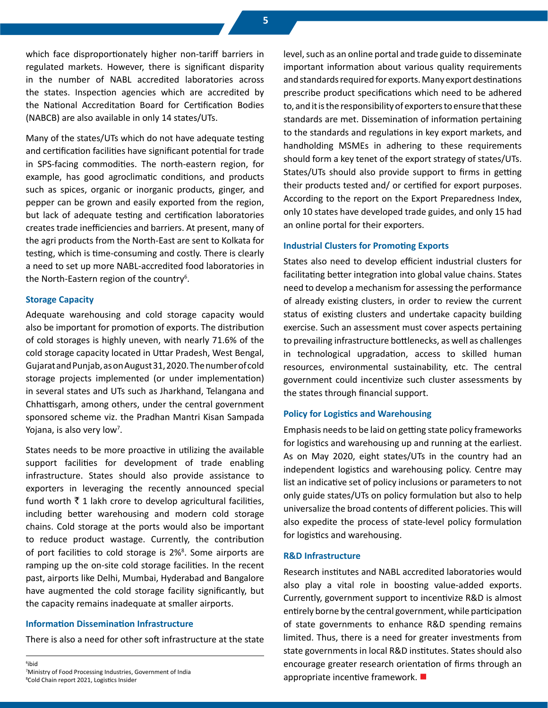which face disproportionately higher non-tariff barriers in regulated markets. However, there is significant disparity in the number of NABL accredited laboratories across the states. Inspection agencies which are accredited by the National Accreditation Board for Certification Bodies (NABCB) are also available in only 14 states/UTs.

Many of the states/UTs which do not have adequate testing and certification facilities have significant potential for trade in SPS-facing commodities. The north-eastern region, for example, has good agroclimatic conditions, and products such as spices, organic or inorganic products, ginger, and pepper can be grown and easily exported from the region, but lack of adequate testing and certification laboratories creates trade inefficiencies and barriers. At present, many of the agri products from the North-East are sent to Kolkata for testing, which is time-consuming and costly. There is clearly a need to set up more NABL-accredited food laboratories in the North-Eastern region of the country<sup>6</sup>.

#### **Storage Capacity**

Adequate warehousing and cold storage capacity would also be important for promotion of exports. The distribution of cold storages is highly uneven, with nearly 71.6% of the cold storage capacity located in Uttar Pradesh, West Bengal, Gujarat and Punjab, as on August 31, 2020. The number of cold storage projects implemented (or under implementation) in several states and UTs such as Jharkhand, Telangana and Chhattisgarh, among others, under the central government sponsored scheme viz. the Pradhan Mantri Kisan Sampada Yojana, is also very low<sup>7</sup>.

States needs to be more proactive in utilizing the available support facilities for development of trade enabling infrastructure. States should also provide assistance to exporters in leveraging the recently announced special fund worth  $\bar{\tau}$  1 lakh crore to develop agricultural facilities, including better warehousing and modern cold storage chains. Cold storage at the ports would also be important to reduce product wastage. Currently, the contribution of port facilities to cold storage is 2%<sup>8</sup>. Some airports are ramping up the on-site cold storage facilities. In the recent past, airports like Delhi, Mumbai, Hyderabad and Bangalore have augmented the cold storage facility significantly, but the capacity remains inadequate at smaller airports.

#### **Information Dissemination Infrastructure**

There is also a need for other soft infrastructure at the state

6 ibid 7 Ministry of Food Processing Industries, Government of India 8 Cold Chain report 2021, Logistics Insider

level, such as an online portal and trade guide to disseminate important information about various quality requirements and standards required for exports. Many export destinations prescribe product specifications which need to be adhered to, and it is the responsibility of exporters to ensure that these standards are met. Dissemination of information pertaining to the standards and regulations in key export markets, and handholding MSMEs in adhering to these requirements should form a key tenet of the export strategy of states/UTs. States/UTs should also provide support to firms in getting their products tested and/ or certified for export purposes. According to the report on the Export Preparedness Index, only 10 states have developed trade guides, and only 15 had an online portal for their exporters.

#### **Industrial Clusters for Promoting Exports**

States also need to develop efficient industrial clusters for facilitating better integration into global value chains. States need to develop a mechanism for assessing the performance of already existing clusters, in order to review the current status of existing clusters and undertake capacity building exercise. Such an assessment must cover aspects pertaining to prevailing infrastructure bottlenecks, as well as challenges in technological upgradation, access to skilled human resources, environmental sustainability, etc. The central government could incentivize such cluster assessments by the states through financial support.

#### **Policy for Logistics and Warehousing**

Emphasis needs to be laid on getting state policy frameworks for logistics and warehousing up and running at the earliest. As on May 2020, eight states/UTs in the country had an independent logistics and warehousing policy. Centre may list an indicative set of policy inclusions or parameters to not only guide states/UTs on policy formulation but also to help universalize the broad contents of different policies. This will also expedite the process of state-level policy formulation for logistics and warehousing.

### **R&D Infrastructure**

Research institutes and NABL accredited laboratories would also play a vital role in boosting value-added exports. Currently, government support to incentivize R&D is almost entirely borne by the central government, while participation of state governments to enhance R&D spending remains limited. Thus, there is a need for greater investments from state governments in local R&D institutes. States should also encourage greater research orientation of firms through an appropriate incentive framework.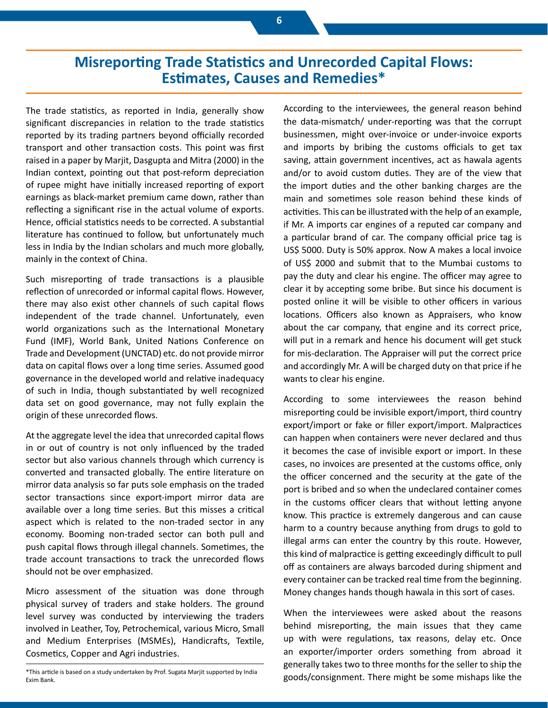### **Misreporting Trade Statistics and Unrecorded Capital Flows: Estimates, Causes and Remedies\***

The trade statistics, as reported in India, generally show significant discrepancies in relation to the trade statistics reported by its trading partners beyond officially recorded transport and other transaction costs. This point was first raised in a paper by Marjit, Dasgupta and Mitra (2000) in the Indian context, pointing out that post-reform depreciation of rupee might have initially increased reporting of export earnings as black-market premium came down, rather than reflecting a significant rise in the actual volume of exports. Hence, official statistics needs to be corrected. A substantial literature has continued to follow, but unfortunately much less in India by the Indian scholars and much more globally, mainly in the context of China.

Such misreporting of trade transactions is a plausible reflection of unrecorded or informal capital flows. However, there may also exist other channels of such capital flows independent of the trade channel. Unfortunately, even world organizations such as the International Monetary Fund (IMF), World Bank, United Nations Conference on Trade and Development (UNCTAD) etc. do not provide mirror data on capital flows over a long time series. Assumed good governance in the developed world and relative inadequacy of such in India, though substantiated by well recognized data set on good governance, may not fully explain the origin of these unrecorded flows.

At the aggregate level the idea that unrecorded capital flows in or out of country is not only influenced by the traded sector but also various channels through which currency is converted and transacted globally. The entire literature on mirror data analysis so far puts sole emphasis on the traded sector transactions since export-import mirror data are available over a long time series. But this misses a critical aspect which is related to the non-traded sector in any economy. Booming non-traded sector can both pull and push capital flows through illegal channels. Sometimes, the trade account transactions to track the unrecorded flows should not be over emphasized.

Micro assessment of the situation was done through physical survey of traders and stake holders. The ground level survey was conducted by interviewing the traders involved in Leather, Toy, Petrochemical, various Micro, Small and Medium Enterprises (MSMEs), Handicrafts, Textile, Cosmetics, Copper and Agri industries.

According to the interviewees, the general reason behind the data-mismatch/ under-reporting was that the corrupt businessmen, might over-invoice or under-invoice exports and imports by bribing the customs officials to get tax saving, attain government incentives, act as hawala agents and/or to avoid custom duties. They are of the view that the import duties and the other banking charges are the main and sometimes sole reason behind these kinds of activities. This can be illustrated with the help of an example, if Mr. A imports car engines of a reputed car company and a particular brand of car. The company official price tag is US\$ 5000. Duty is 50% approx. Now A makes a local invoice of US\$ 2000 and submit that to the Mumbai customs to pay the duty and clear his engine. The officer may agree to clear it by accepting some bribe. But since his document is posted online it will be visible to other officers in various locations. Officers also known as Appraisers, who know about the car company, that engine and its correct price, will put in a remark and hence his document will get stuck for mis-declaration. The Appraiser will put the correct price and accordingly Mr. A will be charged duty on that price if he wants to clear his engine.

According to some interviewees the reason behind misreporting could be invisible export/import, third country export/import or fake or filler export/import. Malpractices can happen when containers were never declared and thus it becomes the case of invisible export or import. In these cases, no invoices are presented at the customs office, only the officer concerned and the security at the gate of the port is bribed and so when the undeclared container comes in the customs officer clears that without letting anyone know. This practice is extremely dangerous and can cause harm to a country because anything from drugs to gold to illegal arms can enter the country by this route. However, this kind of malpractice is getting exceedingly difficult to pull off as containers are always barcoded during shipment and every container can be tracked real time from the beginning. Money changes hands though hawala in this sort of cases.

When the interviewees were asked about the reasons behind misreporting, the main issues that they came up with were regulations, tax reasons, delay etc. Once an exporter/importer orders something from abroad it generally takes two to three months for the seller to ship the goods/consignment. There might be some mishaps like the

<sup>\*</sup>This article is based on a study undertaken by Prof. Sugata Marjit supported by India Exim Bank.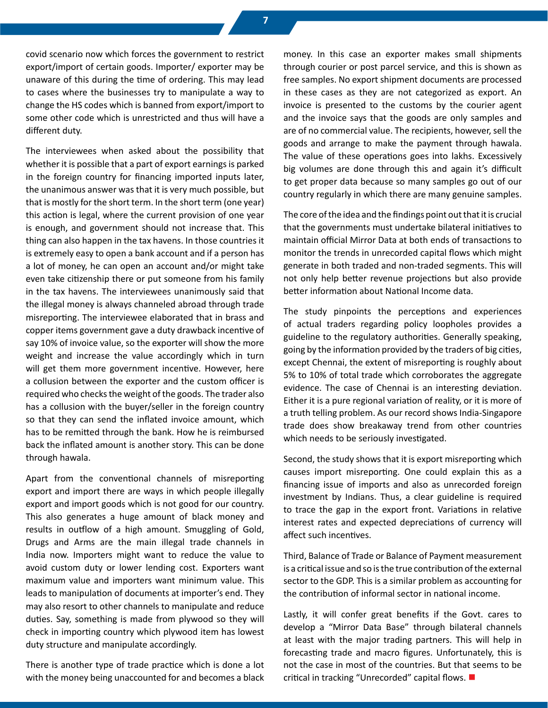covid scenario now which forces the government to restrict export/import of certain goods. Importer/ exporter may be unaware of this during the time of ordering. This may lead to cases where the businesses try to manipulate a way to change the HS codes which is banned from export/import to some other code which is unrestricted and thus will have a different duty.

The interviewees when asked about the possibility that whether it is possible that a part of export earnings is parked in the foreign country for financing imported inputs later, the unanimous answer was that it is very much possible, but that is mostly for the short term. In the short term (one year) this action is legal, where the current provision of one year is enough, and government should not increase that. This thing can also happen in the tax havens. In those countries it is extremely easy to open a bank account and if a person has a lot of money, he can open an account and/or might take even take citizenship there or put someone from his family in the tax havens. The interviewees unanimously said that the illegal money is always channeled abroad through trade misreporting. The interviewee elaborated that in brass and copper items government gave a duty drawback incentive of say 10% of invoice value, so the exporter will show the more weight and increase the value accordingly which in turn will get them more government incentive. However, here a collusion between the exporter and the custom officer is required who checks the weight of the goods. The trader also has a collusion with the buyer/seller in the foreign country so that they can send the inflated invoice amount, which has to be remitted through the bank. How he is reimbursed back the inflated amount is another story. This can be done through hawala.

Apart from the conventional channels of misreporting export and import there are ways in which people illegally export and import goods which is not good for our country. This also generates a huge amount of black money and results in outflow of a high amount. Smuggling of Gold, Drugs and Arms are the main illegal trade channels in India now. Importers might want to reduce the value to avoid custom duty or lower lending cost. Exporters want maximum value and importers want minimum value. This leads to manipulation of documents at importer's end. They may also resort to other channels to manipulate and reduce duties. Say, something is made from plywood so they will check in importing country which plywood item has lowest duty structure and manipulate accordingly.

There is another type of trade practice which is done a lot with the money being unaccounted for and becomes a black money. In this case an exporter makes small shipments through courier or post parcel service, and this is shown as free samples. No export shipment documents are processed in these cases as they are not categorized as export. An invoice is presented to the customs by the courier agent and the invoice says that the goods are only samples and are of no commercial value. The recipients, however, sell the goods and arrange to make the payment through hawala. The value of these operations goes into lakhs. Excessively big volumes are done through this and again it's difficult to get proper data because so many samples go out of our country regularly in which there are many genuine samples.

The core of the idea and the findings point out that it is crucial that the governments must undertake bilateral initiatives to maintain official Mirror Data at both ends of transactions to monitor the trends in unrecorded capital flows which might generate in both traded and non-traded segments. This will not only help better revenue projections but also provide better information about National Income data.

The study pinpoints the perceptions and experiences of actual traders regarding policy loopholes provides a guideline to the regulatory authorities. Generally speaking, going by the information provided by the traders of big cities, except Chennai, the extent of misreporting is roughly about 5% to 10% of total trade which corroborates the aggregate evidence. The case of Chennai is an interesting deviation. Either it is a pure regional variation of reality, or it is more of a truth telling problem. As our record shows India-Singapore trade does show breakaway trend from other countries which needs to be seriously investigated.

Second, the study shows that it is export misreporting which causes import misreporting. One could explain this as a financing issue of imports and also as unrecorded foreign investment by Indians. Thus, a clear guideline is required to trace the gap in the export front. Variations in relative interest rates and expected depreciations of currency will affect such incentives.

Third, Balance of Trade or Balance of Payment measurement is a critical issue and so is the true contribution of the external sector to the GDP. This is a similar problem as accounting for the contribution of informal sector in national income.

Lastly, it will confer great benefits if the Govt. cares to develop a "Mirror Data Base" through bilateral channels at least with the major trading partners. This will help in forecasting trade and macro figures. Unfortunately, this is not the case in most of the countries. But that seems to be critical in tracking "Unrecorded" capital flows.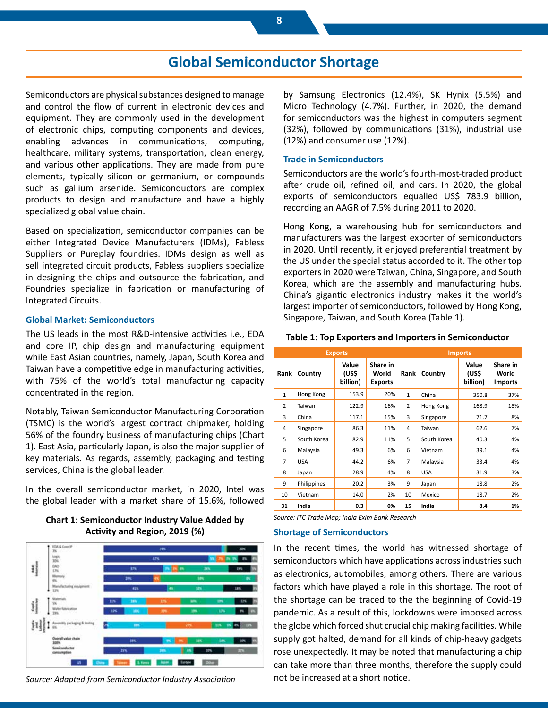### **Global Semiconductor Shortage**

Semiconductors are physical substances designed to manage and control the flow of current in electronic devices and equipment. They are commonly used in the development of electronic chips, computing components and devices, enabling advances in communications, computing, healthcare, military systems, transportation, clean energy, and various other applications. They are made from pure elements, typically silicon or germanium, or compounds such as gallium arsenide. Semiconductors are complex products to design and manufacture and have a highly specialized global value chain.

Based on specialization, semiconductor companies can be either Integrated Device Manufacturers (IDMs), Fabless Suppliers or Pureplay foundries. IDMs design as well as sell integrated circuit products, Fabless suppliers specialize in designing the chips and outsource the fabrication, and Foundries specialize in fabrication or manufacturing of Integrated Circuits.

#### **Global Market: Semiconductors**

The US leads in the most R&D-intensive activities i.e., EDA and core IP, chip design and manufacturing equipment while East Asian countries, namely, Japan, South Korea and Taiwan have a competitive edge in manufacturing activities, with 75% of the world's total manufacturing capacity concentrated in the region.

Notably, Taiwan Semiconductor Manufacturing Corporation (TSMC) is the world's largest contract chipmaker, holding 56% of the foundry business of manufacturing chips (Chart 1). East Asia, particularly Japan, is also the major supplier of key materials. As regards, assembly, packaging and testing services, China is the global leader.

In the overall semiconductor market, in 2020, Intel was the global leader with a market share of 15.6%, followed

#### **Chart 1: Semiconductor Industry Value Added by Activity and Region, 2019 (%)**



*Source: Adapted from Semiconductor Industry Association*

by Samsung Electronics (12.4%), SK Hynix (5.5%) and Micro Technology (4.7%). Further, in 2020, the demand for semiconductors was the highest in computers segment (32%), followed by communications (31%), industrial use (12%) and consumer use (12%).

#### **Trade in Semiconductors**

Semiconductors are the world's fourth-most-traded product after crude oil, refined oil, and cars. In 2020, the global exports of semiconductors equalled US\$ 783.9 billion, recording an AAGR of 7.5% during 2011 to 2020.

Hong Kong, a warehousing hub for semiconductors and manufacturers was the largest exporter of semiconductors in 2020. Until recently, it enjoyed preferential treatment by the US under the special status accorded to it. The other top exporters in 2020 were Taiwan, China, Singapore, and South Korea, which are the assembly and manufacturing hubs. China's gigantic electronics industry makes it the world's largest importer of semiconductors, followed by Hong Kong, Singapore, Taiwan, and South Korea (Table 1).

#### **Table 1: Top Exporters and Importers in Semiconductor**

| <b>Exports</b> |             |                            |                                     | <b>Imports</b> |             |                            |                                     |
|----------------|-------------|----------------------------|-------------------------------------|----------------|-------------|----------------------------|-------------------------------------|
| Rank           | Country     | Value<br>(US\$<br>billion) | Share in<br>World<br><b>Exports</b> | Rank           | Country     | Value<br>(US\$<br>billion) | Share in<br>World<br><b>Imports</b> |
| $\mathbf{1}$   | Hong Kong   | 153.9                      | 20%                                 | $\mathbf{1}$   | China       | 350.8                      | 37%                                 |
| 2              | Taiwan      | 122.9                      | 16%                                 | $\overline{2}$ | Hong Kong   | 168.9                      | 18%                                 |
| 3              | China       | 117.1                      | 15%                                 | 3              | Singapore   | 71.7                       | 8%                                  |
| 4              | Singapore   | 86.3                       | 11%                                 | 4              | Taiwan      | 62.6                       | 7%                                  |
| 5              | South Korea | 82.9                       | 11%                                 | 5              | South Korea | 40.3                       | 4%                                  |
| 6              | Malaysia    | 49.3                       | 6%                                  | 6              | Vietnam     | 39.1                       | 4%                                  |
| $\overline{7}$ | <b>USA</b>  | 44.2                       | 6%                                  | 7              | Malaysia    | 33.4                       | 4%                                  |
| 8              | Japan       | 28.9                       | 4%                                  | 8              | <b>USA</b>  | 31.9                       | 3%                                  |
| 9              | Philippines | 20.2                       | 3%                                  | 9              | Japan       | 18.8                       | 2%                                  |
| 10             | Vietnam     | 14.0                       | 2%                                  | 10             | Mexico      | 18.7                       | 2%                                  |
| 31             | India       | 0.3                        | 0%                                  | 15             | India       | 8.4                        | 1%                                  |

*Source: ITC Trade Map; India Exim Bank Research*

#### **Shortage of Semiconductors**

In the recent times, the world has witnessed shortage of semiconductors which have applications across industries such as electronics, automobiles, among others. There are various factors which have played a role in this shortage. The root of the shortage can be traced to the the beginning of Covid-19 pandemic. As a result of this, lockdowns were imposed across the globe which forced shut crucial chip making facilities. While supply got halted, demand for all kinds of chip-heavy gadgets rose unexpectedly. It may be noted that manufacturing a chip can take more than three months, therefore the supply could not be increased at a short notice.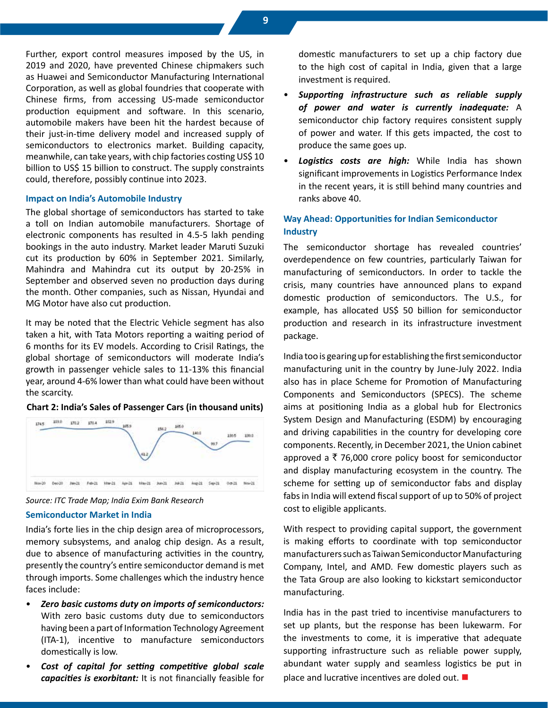Further, export control measures imposed by the US, in 2019 and 2020, have prevented Chinese chipmakers such as Huawei and Semiconductor Manufacturing International Corporation, as well as global foundries that cooperate with Chinese firms, from accessing US-made semiconductor production equipment and software. In this scenario, automobile makers have been hit the hardest because of their just-in-time delivery model and increased supply of semiconductors to electronics market. Building capacity, meanwhile, can take years, with chip factories costing US\$ 10 billion to US\$ 15 billion to construct. The supply constraints could, therefore, possibly continue into 2023.

#### **Impact on India's Automobile Industry**

The global shortage of semiconductors has started to take a toll on Indian automobile manufacturers. Shortage of electronic components has resulted in 4.5-5 lakh pending bookings in the auto industry. Market leader Maruti Suzuki cut its production by 60% in September 2021. Similarly, Mahindra and Mahindra cut its output by 20-25% in September and observed seven no production days during the month. Other companies, such as Nissan, Hyundai and MG Motor have also cut production.

It may be noted that the Electric Vehicle segment has also taken a hit, with Tata Motors reporting a waiting period of 6 months for its EV models. According to Crisil Ratings, the global shortage of semiconductors will moderate India's growth in passenger vehicle sales to 11-13% this financial year, around 4-6% lower than what could have been without the scarcity.

#### **Chart 2: India's Sales of Passenger Cars (in thousand units)**





#### **Semiconductor Market in India**

India's forte lies in the chip design area of microprocessors, memory subsystems, and analog chip design. As a result, due to absence of manufacturing activities in the country, presently the country's entire semiconductor demand is met through imports. Some challenges which the industry hence faces include:

- *Zero basic customs duty on imports of semiconductors:*  With zero basic customs duty due to semiconductors having been a part of Information Technology Agreement (ITA-1), incentive to manufacture semiconductors domestically is low.
- *Cost of capital for setting competitive global scale capacities is exorbitant:* It is not financially feasible for

domestic manufacturers to set up a chip factory due to the high cost of capital in India, given that a large investment is required.

- *Supporting infrastructure such as reliable supply of power and water is currently inadequate:* A semiconductor chip factory requires consistent supply of power and water. If this gets impacted, the cost to produce the same goes up.
- **Logistics costs are high:** While India has shown significant improvements in Logistics Performance Index in the recent years, it is still behind many countries and ranks above 40.

#### **Way Ahead: Opportunities for Indian Semiconductor Industry**

The semiconductor shortage has revealed countries' overdependence on few countries, particularly Taiwan for manufacturing of semiconductors. In order to tackle the crisis, many countries have announced plans to expand domestic production of semiconductors. The U.S., for example, has allocated US\$ 50 billion for semiconductor production and research in its infrastructure investment package.

India too is gearing up for establishing the first semiconductor manufacturing unit in the country by June-July 2022. India also has in place Scheme for Promotion of Manufacturing Components and Semiconductors (SPECS). The scheme aims at positioning India as a global hub for Electronics System Design and Manufacturing (ESDM) by encouraging and driving capabilities in the country for developing core components. Recently, in December 2021, the Union cabinet approved a  $\bar{\tau}$  76,000 crore policy boost for semiconductor and display manufacturing ecosystem in the country. The scheme for setting up of semiconductor fabs and display fabs in India will extend fiscal support of up to 50% of project cost to eligible applicants.

With respect to providing capital support, the government is making efforts to coordinate with top semiconductor manufacturers such as Taiwan Semiconductor Manufacturing Company, Intel, and AMD. Few domestic players such as the Tata Group are also looking to kickstart semiconductor manufacturing.

India has in the past tried to incentivise manufacturers to set up plants, but the response has been lukewarm. For the investments to come, it is imperative that adequate supporting infrastructure such as reliable power supply, abundant water supply and seamless logistics be put in place and lucrative incentives are doled out.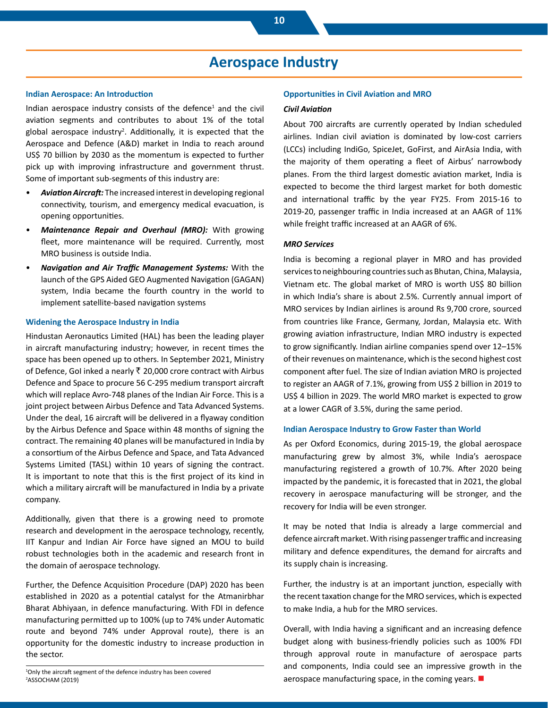### **Aerospace Industry**

#### **Indian Aerospace: An Introduction**

Indian aerospace industry consists of the defence<sup>1</sup> and the civil aviation segments and contributes to about 1% of the total global aerospace industry<sup>2</sup>. Additionally, it is expected that the Aerospace and Defence (A&D) market in India to reach around US\$ 70 billion by 2030 as the momentum is expected to further pick up with improving infrastructure and government thrust. Some of important sub-segments of this industry are:

- *Aviation Aircraft:* The increased interest in developing regional connectivity, tourism, and emergency medical evacuation, is opening opportunities.
- *Maintenance Repair and Overhaul (MRO):* With growing fleet, more maintenance will be required. Currently, most MRO business is outside India.
- *Navigation and Air Traffic Management Systems:* With the launch of the GPS Aided GEO Augmented Navigation (GAGAN) system, India became the fourth country in the world to implement satellite-based navigation systems

#### **Widening the Aerospace Industry in India**

Hindustan Aeronautics Limited (HAL) has been the leading player in aircraft manufacturing industry; however, in recent times the space has been opened up to others. In September 2021, Ministry of Defence, GoI inked a nearly  $\bar{\tau}$  20,000 crore contract with Airbus Defence and Space to procure 56 C-295 medium transport aircraft which will replace Avro-748 planes of the Indian Air Force. This is a joint project between Airbus Defence and Tata Advanced Systems. Under the deal, 16 aircraft will be delivered in a flyaway condition by the Airbus Defence and Space within 48 months of signing the contract. The remaining 40 planes will be manufactured in India by a consortium of the Airbus Defence and Space, and Tata Advanced Systems Limited (TASL) within 10 years of signing the contract. It is important to note that this is the first project of its kind in which a military aircraft will be manufactured in India by a private company.

Additionally, given that there is a growing need to promote research and development in the aerospace technology, recently, IIT Kanpur and Indian Air Force have signed an MOU to build robust technologies both in the academic and research front in the domain of aerospace technology.

Further, the Defence Acquisition Procedure (DAP) 2020 has been established in 2020 as a potential catalyst for the Atmanirbhar Bharat Abhiyaan, in defence manufacturing. With FDI in defence manufacturing permitted up to 100% (up to 74% under Automatic route and beyond 74% under Approval route), there is an opportunity for the domestic industry to increase production in the sector.

1 Only the aircraft segment of the defence industry has been covered 2 ASSOCHAM (2019)

#### **Opportunities in Civil Aviation and MRO**

#### *Civil Aviation*

About 700 aircrafts are currently operated by Indian scheduled airlines. Indian civil aviation is dominated by low-cost carriers (LCCs) including IndiGo, SpiceJet, GoFirst, and AirAsia India, with the majority of them operating a fleet of Airbus' narrowbody planes. From the third largest domestic aviation market, India is expected to become the third largest market for both domestic and international traffic by the year FY25. From 2015-16 to 2019-20, passenger traffic in India increased at an AAGR of 11% while freight traffic increased at an AAGR of 6%.

#### *MRO Services*

India is becoming a regional player in MRO and has provided services to neighbouring countries such as Bhutan, China, Malaysia, Vietnam etc. The global market of MRO is worth US\$ 80 billion in which India's share is about 2.5%. Currently annual import of MRO services by Indian airlines is around Rs 9,700 crore, sourced from countries like France, Germany, Jordan, Malaysia etc. With growing aviation infrastructure, Indian MRO industry is expected to grow significantly. Indian airline companies spend over 12–15% of their revenues on maintenance, which is the second highest cost component after fuel. The size of Indian aviation MRO is projected to register an AAGR of 7.1%, growing from US\$ 2 billion in 2019 to US\$ 4 billion in 2029. The world MRO market is expected to grow at a lower CAGR of 3.5%, during the same period.

#### **Indian Aerospace Industry to Grow Faster than World**

As per Oxford Economics, during 2015-19, the global aerospace manufacturing grew by almost 3%, while India's aerospace manufacturing registered a growth of 10.7%. After 2020 being impacted by the pandemic, it is forecasted that in 2021, the global recovery in aerospace manufacturing will be stronger, and the recovery for India will be even stronger.

It may be noted that India is already a large commercial and defence aircraft market. With rising passenger traffic and increasing military and defence expenditures, the demand for aircrafts and its supply chain is increasing.

Further, the industry is at an important junction, especially with the recent taxation change for the MRO services, which is expected to make India, a hub for the MRO services.

Overall, with India having a significant and an increasing defence budget along with business-friendly policies such as 100% FDI through approval route in manufacture of aerospace parts and components, India could see an impressive growth in the aerospace manufacturing space, in the coming years.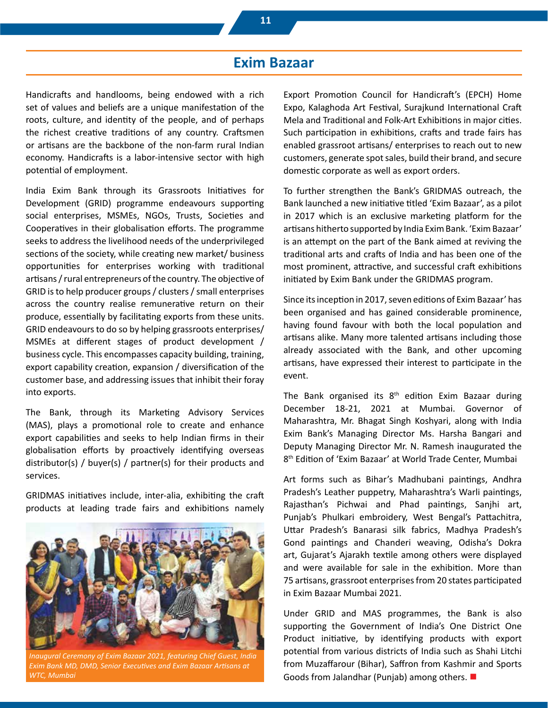### **Exim Bazaar**

Handicrafts and handlooms, being endowed with a rich set of values and beliefs are a unique manifestation of the roots, culture, and identity of the people, and of perhaps the richest creative traditions of any country. Craftsmen or artisans are the backbone of the non-farm rural Indian economy. Handicrafts is a labor-intensive sector with high potential of employment.

India Exim Bank through its Grassroots Initiatives for Development (GRID) programme endeavours supporting social enterprises, MSMEs, NGOs, Trusts, Societies and Cooperatives in their globalisation efforts. The programme seeks to address the livelihood needs of the underprivileged sections of the society, while creating new market/ business opportunities for enterprises working with traditional artisans / rural entrepreneurs of the country. The objective of GRID is to help producer groups / clusters / small enterprises across the country realise remunerative return on their produce, essentially by facilitating exports from these units. GRID endeavours to do so by helping grassroots enterprises/ MSMEs at different stages of product development / business cycle. This encompasses capacity building, training, export capability creation, expansion / diversification of the customer base, and addressing issues that inhibit their foray into exports.

The Bank, through its Marketing Advisory Services (MAS), plays a promotional role to create and enhance export capabilities and seeks to help Indian firms in their globalisation efforts by proactively identifying overseas distributor(s) / buyer(s) / partner(s) for their products and services.

GRIDMAS initiatives include, inter-alia, exhibiting the craft products at leading trade fairs and exhibitions namely



*Inaugural Ceremony of Exim Bazaar 2021, featuring Chief Guest, India Exim Bank MD, DMD, Senior Executives and Exim Bazaar Artisans at WTC, Mumbai*

Export Promotion Council for Handicraft's (EPCH) Home Expo, Kalaghoda Art Festival, Surajkund International Craft Mela and Traditional and Folk-Art Exhibitions in major cities. Such participation in exhibitions, crafts and trade fairs has enabled grassroot artisans/ enterprises to reach out to new customers, generate spot sales, build their brand, and secure domestic corporate as well as export orders.

To further strengthen the Bank's GRIDMAS outreach, the Bank launched a new initiative titled 'Exim Bazaar', as a pilot in 2017 which is an exclusive marketing platform for the artisans hitherto supported by India Exim Bank. 'Exim Bazaar' is an attempt on the part of the Bank aimed at reviving the traditional arts and crafts of India and has been one of the most prominent, attractive, and successful craft exhibitions initiated by Exim Bank under the GRIDMAS program.

Since its inception in 2017, seven editions of Exim Bazaar' has been organised and has gained considerable prominence, having found favour with both the local population and artisans alike. Many more talented artisans including those already associated with the Bank, and other upcoming artisans, have expressed their interest to participate in the event.

The Bank organised its  $8<sup>th</sup>$  edition Exim Bazaar during December 18-21, 2021 at Mumbai. Governor of Maharashtra, Mr. Bhagat Singh Koshyari, along with India Exim Bank's Managing Director Ms. Harsha Bangari and Deputy Managing Director Mr. N. Ramesh inaugurated the 8th Edition of 'Exim Bazaar' at World Trade Center, Mumbai

Art forms such as Bihar's Madhubani paintings, Andhra Pradesh's Leather puppetry, Maharashtra's Warli paintings, Rajasthan's Pichwai and Phad paintings, Sanjhi art, Punjab's Phulkari embroidery, West Bengal's Pattachitra, Uttar Pradesh's Banarasi silk fabrics, Madhya Pradesh's Gond paintings and Chanderi weaving, Odisha's Dokra art, Gujarat's Ajarakh textile among others were displayed and were available for sale in the exhibition. More than 75 artisans, grassroot enterprises from 20 states participated in Exim Bazaar Mumbai 2021.

Under GRID and MAS programmes, the Bank is also supporting the Government of India's One District One Product initiative, by identifying products with export potential from various districts of India such as Shahi Litchi from Muzaffarour (Bihar), Saffron from Kashmir and Sports Goods from Jalandhar (Punjab) among others.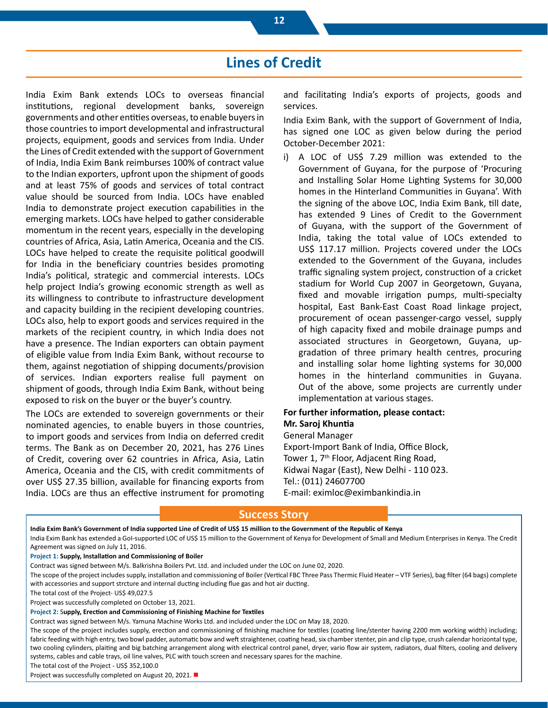### **Lines of Credit**

India Exim Bank extends LOCs to overseas financial institutions, regional development banks, sovereign governments and other entities overseas, to enable buyers in those countries to import developmental and infrastructural projects, equipment, goods and services from India. Under the Lines of Credit extended with the support of Government of India, India Exim Bank reimburses 100% of contract value to the Indian exporters, upfront upon the shipment of goods and at least 75% of goods and services of total contract value should be sourced from India. LOCs have enabled India to demonstrate project execution capabilities in the emerging markets. LOCs have helped to gather considerable momentum in the recent years, especially in the developing countries of Africa, Asia, Latin America, Oceania and the CIS. LOCs have helped to create the requisite political goodwill for India in the beneficiary countries besides promoting India's political, strategic and commercial interests. LOCs help project India's growing economic strength as well as its willingness to contribute to infrastructure development and capacity building in the recipient developing countries. LOCs also, help to export goods and services required in the markets of the recipient country, in which India does not have a presence. The Indian exporters can obtain payment of eligible value from India Exim Bank, without recourse to them, against negotiation of shipping documents/provision of services. Indian exporters realise full payment on shipment of goods, through India Exim Bank, without being exposed to risk on the buyer or the buyer's country.

The LOCs are extended to sovereign governments or their nominated agencies, to enable buyers in those countries, to import goods and services from India on deferred credit terms. The Bank as on December 20, 2021, has 276 Lines of Credit, covering over 62 countries in Africa, Asia, Latin America, Oceania and the CIS, with credit commitments of over US\$ 27.35 billion, available for financing exports from India. LOCs are thus an effective instrument for promoting and facilitating India's exports of projects, goods and services.

India Exim Bank, with the support of Government of India, has signed one LOC as given below during the period October-December 2021:

i) A LOC of US\$ 7.29 million was extended to the Government of Guyana, for the purpose of 'Procuring and Installing Solar Home Lighting Systems for 30,000 homes in the Hinterland Communities in Guyana'. With the signing of the above LOC, India Exim Bank, till date, has extended 9 Lines of Credit to the Government of Guyana, with the support of the Government of India, taking the total value of LOCs extended to US\$ 117.17 million. Projects covered under the LOCs extended to the Government of the Guyana, includes traffic signaling system project, construction of a cricket stadium for World Cup 2007 in Georgetown, Guyana, fixed and movable irrigation pumps, multi-specialty hospital, East Bank-East Coast Road linkage project, procurement of ocean passenger-cargo vessel, supply of high capacity fixed and mobile drainage pumps and associated structures in Georgetown, Guyana, upgradation of three primary health centres, procuring and installing solar home lighting systems for 30,000 homes in the hinterland communities in Guyana. Out of the above, some projects are currently under implementation at various stages.

#### **For further information, please contact: Mr. Saroj Khuntia**

General Manager

Export-Import Bank of India, Office Block, Tower 1, 7<sup>th</sup> Floor, Adjacent Ring Road, Kidwai Nagar (East), New Delhi - 110 023. Tel.: (011) 24607700 E-mail: eximloc@eximbankindia.in

#### **Success Story**

**India Exim Bank's Government of India supported Line of Credit of US\$ 15 million to the Government of the Republic of Kenya** India Exim Bank has extended a GoI-supported LOC of US\$ 15 million to the Government of Kenya for Development of Small and Medium Enterprises in Kenya. The Credit Agreement was signed on July 11, 2016. **Project 1: Supply, Installation and Commissioning of Boiler** Contract was signed between M/s. Balkrishna Boilers Pvt. Ltd. and included under the LOC on June 02, 2020. The scope of the project includes supply, installation and commissioning of Boiler (Vertical FBC Three Pass Thermic Fluid Heater – VTF Series), bag filter (64 bags) complete with accessories and support strcture and internal ducting including flue gas and hot air ducting. The total cost of the Project- US\$ 49,027.5 Project was successfully completed on October 13, 2021. **Project 2:** S**upply, Erection and Commissioning of Finishing Machine for Textiles** Contract was signed between M/s. Yamuna Machine Works Ltd. and included under the LOC on May 18, 2020. The scope of the project includes supply, erection and commissioning of finishing machine for textiles (coating line/stenter having 2200 mm working width) including; fabric feeding with high entry, two bowl padder, automatic bow and weft straightener, coating head, six chamber stenter, pin and clip type, crush calendar horizontal type, two cooling cylinders, plaiting and big batching arrangement along with electrical control panel, dryer, vario flow air system, radiators, dual filters, cooling and delivery systems, cables and cable trays, oil line valves, PLC with touch screen and necessary spares for the machine.

The total cost of the Project - US\$ 352,100.0

Project was successfully completed on August 20, 2021. ■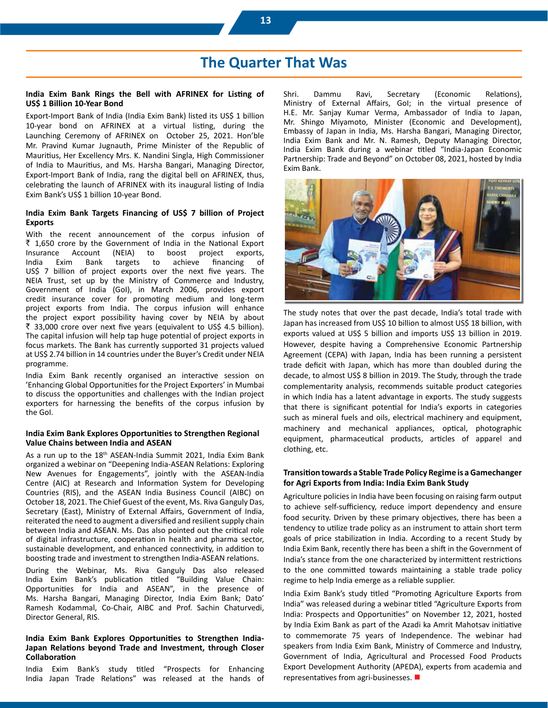### **The Quarter That Was**

#### **India Exim Bank Rings the Bell with AFRINEX for Listing of US\$ 1 Billion 10-Year Bond**

Export-Import Bank of India (India Exim Bank) listed its US\$ 1 billion 10-year bond on AFRINEX at a virtual listing, during the Launching Ceremony of AFRINEX on October 25, 2021. Hon'ble Mr. Pravind Kumar Jugnauth, Prime Minister of the Republic of Mauritius, Her Excellency Mrs. K. Nandini Singla, High Commissioner of India to Mauritius, and Ms. Harsha Bangari, Managing Director, Export-Import Bank of India, rang the digital bell on AFRINEX, thus, celebrating the launch of AFRINEX with its inaugural listing of India Exim Bank's US\$ 1 billion 10-year Bond.

#### **India Exim Bank Targets Financing of US\$ 7 billion of Project Exports**

With the recent announcement of the corpus infusion of  $\bar{\xi}$  1,650 crore by the Government of India in the National Export Insurance Account (NEIA) to boost project exports, India Exim Bank targets to achieve financing of US\$ 7 billion of project exports over the next five years. The NEIA Trust, set up by the Ministry of Commerce and Industry, Government of India (GoI), in March 2006, provides export credit insurance cover for promoting medium and long-term project exports from India. The corpus infusion will enhance the project export possibility having cover by NEIA by about ₹ 33,000 crore over next five years (equivalent to US\$ 4.5 billion). The capital infusion will help tap huge potential of project exports in focus markets. The Bank has currently supported 31 projects valued at US\$ 2.74 billion in 14 countries under the Buyer's Credit under NEIA programme.

India Exim Bank recently organised an interactive session on 'Enhancing Global Opportunities for the Project Exporters' in Mumbai to discuss the opportunities and challenges with the Indian project exporters for harnessing the benefits of the corpus infusion by the GoI.

#### **India Exim Bank Explores Opportunities to Strengthen Regional Value Chains between India and ASEAN**

As a run up to the 18<sup>th</sup> ASEAN-India Summit 2021, India Exim Bank organized a webinar on "Deepening India-ASEAN Relations: Exploring New Avenues for Engagements", jointly with the ASEAN-India Centre (AIC) at Research and Information System for Developing Countries (RIS), and the ASEAN India Business Council (AIBC) on October 18, 2021. The Chief Guest of the event, Ms. Riva Ganguly Das, Secretary (East), Ministry of External Affairs, Government of India, reiterated the need to augment a diversified and resilient supply chain between India and ASEAN. Ms. Das also pointed out the critical role of digital infrastructure, cooperation in health and pharma sector, sustainable development, and enhanced connectivity, in addition to boosting trade and investment to strengthen India-ASEAN relations.

During the Webinar, Ms. Riva Ganguly Das also released India Exim Bank's publication titled "Building Value Chain: Opportunities for India and ASEAN", in the presence of Ms. Harsha Bangari, Managing Director, India Exim Bank; Dato' Ramesh Kodammal, Co-Chair, AIBC and Prof. Sachin Chaturvedi, Director General, RIS.

#### **India Exim Bank Explores Opportunities to Strengthen India-Japan Relations beyond Trade and Investment, through Closer Collaboration**

India Exim Bank's study titled "Prospects for Enhancing India Japan Trade Relations" was released at the hands of Shri. Dammu Ravi, Secretary (Economic Relations), Ministry of External Affairs, GoI; in the virtual presence of H.E. Mr. Sanjay Kumar Verma, Ambassador of India to Japan, Mr. Shingo Miyamoto, Minister (Economic and Development), Embassy of Japan in India, Ms. Harsha Bangari, Managing Director, India Exim Bank and Mr. N. Ramesh, Deputy Managing Director, India Exim Bank during a webinar titled "India-Japan Economic Partnership: Trade and Beyond" on October 08, 2021, hosted by India Exim Bank.



The study notes that over the past decade, India's total trade with Japan has increased from US\$ 10 billion to almost US\$ 18 billion, with exports valued at US\$ 5 billion and imports US\$ 13 billion in 2019. However, despite having a Comprehensive Economic Partnership Agreement (CEPA) with Japan, India has been running a persistent trade deficit with Japan, which has more than doubled during the decade, to almost US\$ 8 billion in 2019. The Study, through the trade complementarity analysis, recommends suitable product categories in which India has a latent advantage in exports. The study suggests that there is significant potential for India's exports in categories such as mineral fuels and oils, electrical machinery and equipment, machinery and mechanical appliances, optical, photographic equipment, pharmaceutical products, articles of apparel and clothing, etc.

#### **Transition towards a Stable Trade Policy Regime is a Gamechanger for Agri Exports from India: India Exim Bank Study**

Agriculture policies in India have been focusing on raising farm output to achieve self-sufficiency, reduce import dependency and ensure food security. Driven by these primary objectives, there has been a tendency to utilize trade policy as an instrument to attain short term goals of price stabilization in India. According to a recent Study by India Exim Bank, recently there has been a shift in the Government of India's stance from the one characterized by intermittent restrictions to the one committed towards maintaining a stable trade policy regime to help India emerge as a reliable supplier.

India Exim Bank's study titled "Promoting Agriculture Exports from India" was released during a webinar titled "Agriculture Exports from India: Prospects and Opportunities" on November 12, 2021, hosted by India Exim Bank as part of the Azadi ka Amrit Mahotsav initiative to commemorate 75 years of Independence. The webinar had speakers from India Exim Bank, Ministry of Commerce and Industry, Government of India, Agricultural and Processed Food Products Export Development Authority (APEDA), experts from academia and representatives from agri-businesses.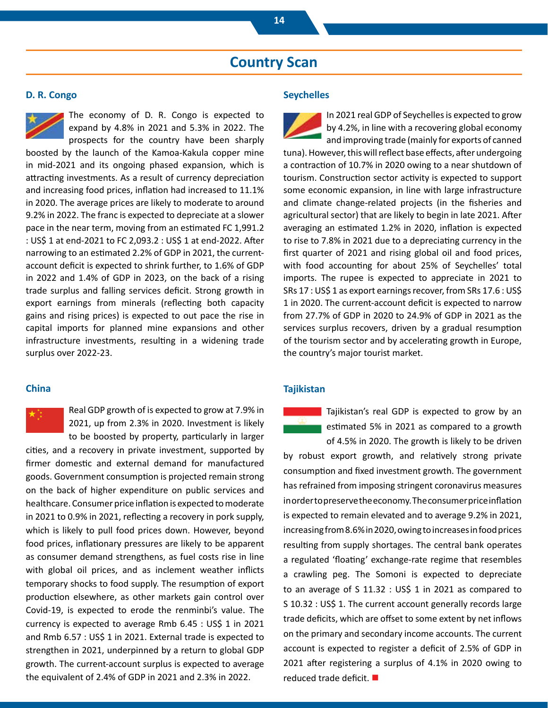### **Country Scan**

#### **D. R. Congo**



The economy of D. R. Congo is expected to expand by 4.8% in 2021 and 5.3% in 2022. The prospects for the country have been sharply

boosted by the launch of the Kamoa-Kakula copper mine in mid-2021 and its ongoing phased expansion, which is attracting investments. As a result of currency depreciation and increasing food prices, inflation had increased to 11.1% in 2020. The average prices are likely to moderate to around 9.2% in 2022. The franc is expected to depreciate at a slower pace in the near term, moving from an estimated FC 1,991.2 : US\$ 1 at end-2021 to FC 2,093.2 : US\$ 1 at end-2022. After narrowing to an estimated 2.2% of GDP in 2021, the currentaccount deficit is expected to shrink further, to 1.6% of GDP in 2022 and 1.4% of GDP in 2023, on the back of a rising trade surplus and falling services deficit. Strong growth in export earnings from minerals (reflecting both capacity gains and rising prices) is expected to out pace the rise in capital imports for planned mine expansions and other infrastructure investments, resulting in a widening trade surplus over 2022-23.

#### **China**

Real GDP growth of is expected to grow at 7.9% in 2021, up from 2.3% in 2020. Investment is likely to be boosted by property, particularly in larger

cities, and a recovery in private investment, supported by firmer domestic and external demand for manufactured goods. Government consumption is projected remain strong on the back of higher expenditure on public services and healthcare. Consumer price inflation is expected to moderate in 2021 to 0.9% in 2021, reflecting a recovery in pork supply, which is likely to pull food prices down. However, beyond food prices, inflationary pressures are likely to be apparent as consumer demand strengthens, as fuel costs rise in line with global oil prices, and as inclement weather inflicts temporary shocks to food supply. The resumption of export production elsewhere, as other markets gain control over Covid-19, is expected to erode the renminbi's value. The currency is expected to average Rmb 6.45 : US\$ 1 in 2021 and Rmb 6.57 : US\$ 1 in 2021. External trade is expected to strengthen in 2021, underpinned by a return to global GDP growth. The current-account surplus is expected to average the equivalent of 2.4% of GDP in 2021 and 2.3% in 2022.

#### **Seychelles**

In 2021 real GDP of Seychelles is expected to grow by 4.2%, in line with a recovering global economy

and improving trade (mainly for exports of canned tuna). However, this will reflect base effects, after undergoing a contraction of 10.7% in 2020 owing to a near shutdown of tourism. Construction sector activity is expected to support some economic expansion, in line with large infrastructure and climate change-related projects (in the fisheries and agricultural sector) that are likely to begin in late 2021. After averaging an estimated 1.2% in 2020, inflation is expected to rise to 7.8% in 2021 due to a depreciating currency in the first quarter of 2021 and rising global oil and food prices, with food accounting for about 25% of Seychelles' total imports. The rupee is expected to appreciate in 2021 to SRs 17 : US\$ 1 as export earnings recover, from SRs 17.6 : US\$ 1 in 2020. The current-account deficit is expected to narrow from 27.7% of GDP in 2020 to 24.9% of GDP in 2021 as the services surplus recovers, driven by a gradual resumption of the tourism sector and by accelerating growth in Europe, the country's major tourist market.

#### **Tajikistan**

Tajikistan's real GDP is expected to grow by an estimated 5% in 2021 as compared to a growth

of 4.5% in 2020. The growth is likely to be driven by robust export growth, and relatively strong private consumption and fixed investment growth. The government has refrained from imposing stringent coronavirus measures in order to preserve the economy. The consumer price inflation is expected to remain elevated and to average 9.2% in 2021, increasing from 8.6% in 2020, owing to increases in food prices resulting from supply shortages. The central bank operates a regulated 'floating' exchange-rate regime that resembles a crawling peg. The Somoni is expected to depreciate to an average of S 11.32 : US\$ 1 in 2021 as compared to S 10.32 : US\$ 1. The current account generally records large trade deficits, which are offset to some extent by net inflows on the primary and secondary income accounts. The current account is expected to register a deficit of 2.5% of GDP in 2021 after registering a surplus of 4.1% in 2020 owing to reduced trade deficit.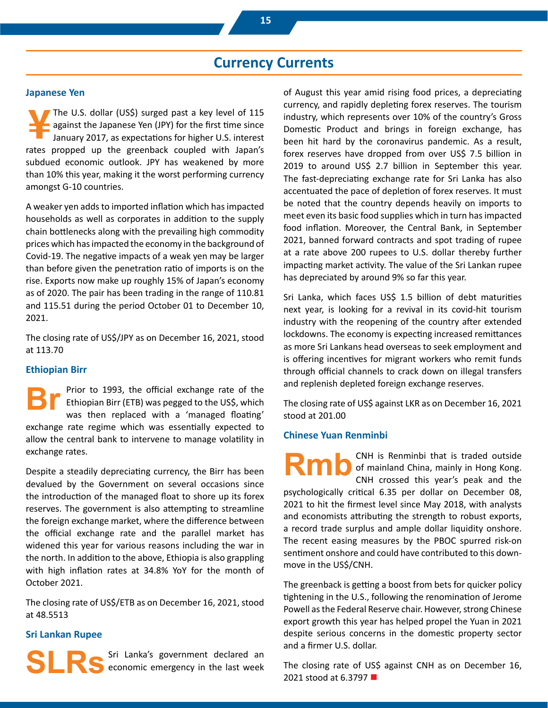### **Currency Currents**

#### **Japanese Yen**

The U.S. dollar (US\$) surged past a key level of 115 against the Japanese Yen (JPY) for the first time since January 2017, as expectations for higher U.S. interest rates propped up the greenback coupled with Japan's subdued economic outlook. JPY has weakened by more than 10% this year, making it the worst performing currency amongst G-10 countries.

A weaker yen adds to imported inflation which has impacted households as well as corporates in addition to the supply chain bottlenecks along with the prevailing high commodity prices which has impacted the economy in the background of Covid-19. The negative impacts of a weak yen may be larger than before given the penetration ratio of imports is on the rise. Exports now make up roughly 15% of Japan's economy as of 2020. The pair has been trading in the range of 110.81 and 115.51 during the period October 01 to December 10, 2021.

The closing rate of US\$/JPY as on December 16, 2021, stood at 113.70

#### **Ethiopian Birr**

Prior to 1993, the official exchange rate of the Ethiopian Birr (ETB) was pegged to the US\$, which was then replaced with a 'managed floating' exchange rate regime which was essentially expected to allow the central bank to intervene to manage volatility in exchange rates. **Br**

Despite a steadily depreciating currency, the Birr has been devalued by the Government on several occasions since the introduction of the managed float to shore up its forex reserves. The government is also attempting to streamline the foreign exchange market, where the difference between the official exchange rate and the parallel market has widened this year for various reasons including the war in the north. In addition to the above, Ethiopia is also grappling with high inflation rates at 34.8% YoY for the month of October 2021.

The closing rate of US\$/ETB as on December 16, 2021, stood at 48.5513

#### **Sri Lankan Rupee**

Sri Lanka's government declared an economic emergency in the last week **SLRs**

of August this year amid rising food prices, a depreciating currency, and rapidly depleting forex reserves. The tourism industry, which represents over 10% of the country's Gross Domestic Product and brings in foreign exchange, has been hit hard by the coronavirus pandemic. As a result, forex reserves have dropped from over US\$ 7.5 billion in 2019 to around US\$ 2.7 billion in September this year. The fast-depreciating exchange rate for Sri Lanka has also accentuated the pace of depletion of forex reserves. It must be noted that the country depends heavily on imports to meet even its basic food supplies which in turn has impacted food inflation. Moreover, the Central Bank, in September 2021, banned forward contracts and spot trading of rupee at a rate above 200 rupees to U.S. dollar thereby further impacting market activity. The value of the Sri Lankan rupee has depreciated by around 9% so far this year.

Sri Lanka, which faces US\$ 1.5 billion of debt maturities next year, is looking for a revival in its covid-hit tourism industry with the reopening of the country after extended lockdowns. The economy is expecting increased remittances as more Sri Lankans head overseas to seek employment and is offering incentives for migrant workers who remit funds through official channels to crack down on illegal transfers and replenish depleted foreign exchange reserves.

The closing rate of US\$ against LKR as on December 16, 2021 stood at 201.00

#### **Chinese Yuan Renminbi**

CNH is Renminbi that is traded outside of mainland China, mainly in Hong Kong. CNH crossed this year's peak and the psychologically critical 6.35 per dollar on December 08, 2021 to hit the firmest level since May 2018, with analysts and economists attributing the strength to robust exports, a record trade surplus and ample dollar liquidity onshore. The recent easing measures by the PBOC spurred risk-on sentiment onshore and could have contributed to this downmove in the US\$/CNH. **Rmb**

The greenback is getting a boost from bets for quicker policy tightening in the U.S., following the renomination of Jerome Powell as the Federal Reserve chair. However, strong Chinese export growth this year has helped propel the Yuan in 2021 despite serious concerns in the domestic property sector and a firmer U.S. dollar.

The closing rate of US\$ against CNH as on December 16, 2021 stood at 6.3797